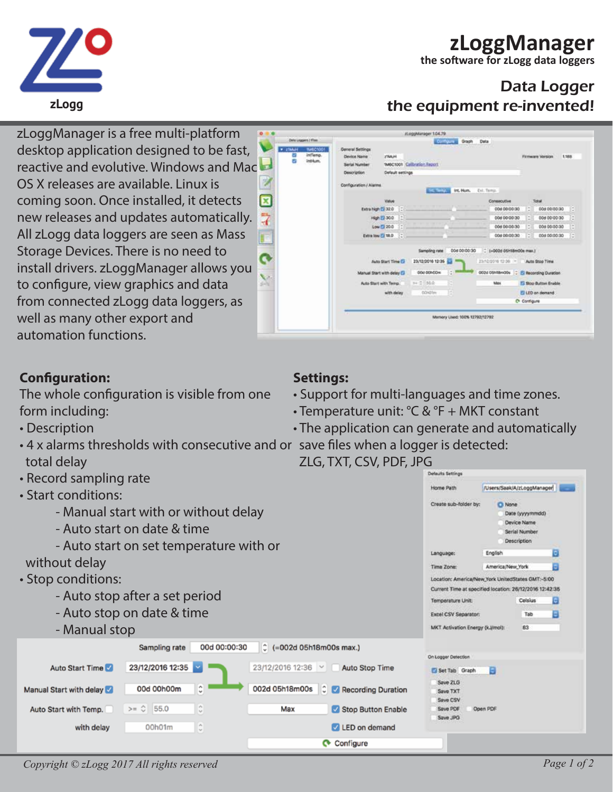# **zLoggManager**

**Firmware Version** 

1.188

**the software for zLogg data loggers**

## Data Logger the equipment re-invented!

Data



stoggMinager 1.04.79

1MC1001 Callentine Report

Computer Graph

**CALIFORNIA DE Human Col. Tempo** 

• The application can generate and automatically

ZLG, TXT, CSV, PDF, JPG

| • Record sampling rate                  |                      |                            |                            |                             |                                                                                                              | Defaults Settings                                                        |                                     |   |  |
|-----------------------------------------|----------------------|----------------------------|----------------------------|-----------------------------|--------------------------------------------------------------------------------------------------------------|--------------------------------------------------------------------------|-------------------------------------|---|--|
| • Start conditions:                     |                      |                            |                            |                             |                                                                                                              |                                                                          | /Users/Saak/A/zLoggManager          |   |  |
| - Manual start with or without delay    |                      |                            |                            |                             |                                                                                                              | Create sub-folder by:<br><b>C</b> None<br>Date (yyyymmdd)<br>Device Name |                                     |   |  |
| - Auto start on date & time             |                      |                            |                            |                             |                                                                                                              |                                                                          | Serial Number<br><b>Description</b> |   |  |
| - Auto start on set temperature with or |                      |                            |                            |                             |                                                                                                              | English                                                                  |                                     | ۰ |  |
| without delay                           |                      |                            |                            |                             | Time Zone:                                                                                                   | America/New York                                                         |                                     |   |  |
| · Stop conditions:                      |                      |                            |                            |                             | Location: America/New York UnitedStates GMT:-5:00<br>Current Time at specified location: 26/12/2016 12:42:35 |                                                                          |                                     |   |  |
| - Auto stop after a set period          |                      |                            |                            |                             | Temperature Unit:                                                                                            |                                                                          | Celsius                             | Е |  |
| - Auto stop on date & time              |                      |                            |                            |                             |                                                                                                              | Excel CSV Separator:                                                     | Tab                                 |   |  |
| - Manual stop                           |                      |                            |                            |                             | MKT Activation Energy (k.J/mol):                                                                             |                                                                          | 83                                  |   |  |
|                                         | Sampling rate        | 00d 00:00:30               | $C = 002d$ 05h18m00s max.) |                             |                                                                                                              |                                                                          |                                     |   |  |
| Auto Start Time                         | 23/12/2016 12:35     |                            | 23/12/2016 12:36 $\vee$    | Auto Stop Time              | On Logger Detection                                                                                          |                                                                          |                                     |   |  |
|                                         |                      |                            |                            |                             | Set Tab Graph                                                                                                | Θ                                                                        |                                     |   |  |
| Manual Start with delay                 | 00d 00h00m           | e.<br>$\checkmark$         | 002d 05h18m00s             | <b>C</b> Recording Duration | Save ZLG<br>Save TXT<br>Save CSV                                                                             |                                                                          |                                     |   |  |
| Auto Start with Temp.                   | $>=$ $\circ$<br>55.0 | $\sigma_{\rm h}$<br>$\sim$ | Max                        | Stop Button Enable          | Save PDF<br>Save JPG                                                                                         | Open PDF                                                                 |                                     |   |  |
| with delay                              | 00h01m               | $\sigma_{\rm t}$<br>$\sim$ |                            | LED on demand               |                                                                                                              |                                                                          |                                     |   |  |
|                                         |                      |                            |                            | Configure<br>$\mathbf{C}$   |                                                                                                              |                                                                          |                                     |   |  |

**VISINAL MARCH** 

7

Device Name

**Savial Number** Description

Configuration / Marine

ZMAH

Default settings





zLoggManager is a free multi-platform desktop application designed to be fast, reactive and evolutive. Windows and Mac OS X releases are available. Linux is coming soon. Once installed, it detects  $\overline{\mathbf{z}}$ new releases and updates automatically. All zLogg data loggers are seen as Mass Storage Devices. There is no need to install drivers. zLoggManager allows you to configure, view graphics and data from connected zLogg data loggers, as well as many other export and automation functions.

### **Configuration:**

The whole configuration is visible from one form including:

- Description
- 4 x alarms thresholds with consecutive and or save files when a logger is detected: total delay
- Record sampling rate
-